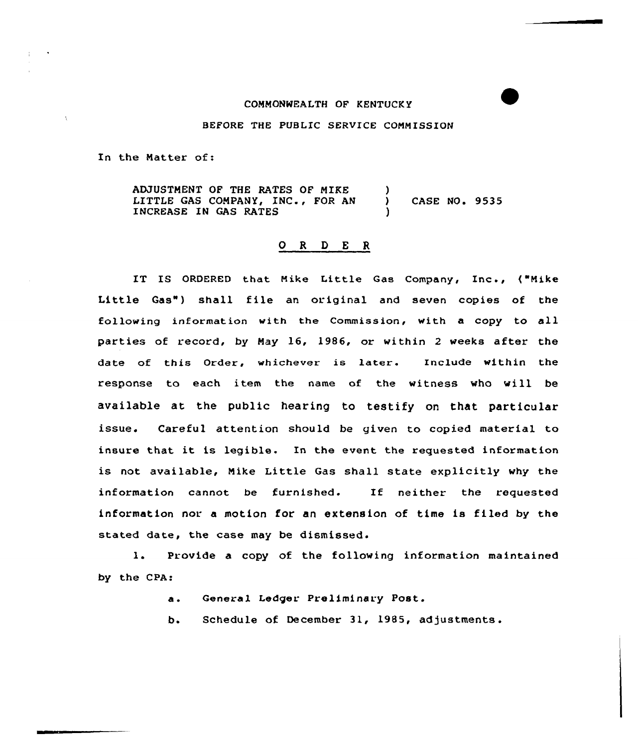## COMMONWEALTH OF KENTUCK Y

BEFORE THE PUBLIC SERVICE COMMISSION

In the Natter of:

 $\bar{\chi}$ 

ADJUSTMENT OF THE RATES OF MIKE (1) LITTLE GAS COMPANY, INC., FOR AN ) CASE NO. 9535 INCREASE IN GAS RATES

## 0 R <sup>D</sup> E R

IT IS ORDERED that Nike Little Gas Company, Inc., ("Nike Little Gas") shall file an original and seven copies of the following information with the Commission, with <sup>a</sup> copy to all parties of record, by Nay 16, 1986, or within <sup>2</sup> weeks after the date of this Order, whichever is later. Include within the response to each item the name of the witness who will be available at the public hearing to testify on that particular issue. Careful attention should be given to copied material to insure that it is legible. In the event the requested information is not available, Nike Little Gas shall state explicitly why the information cannot be furnished. If neither the requested information nor a motion for an extension of time is filed by the stated date, the case may be dismissed.

1. Provide <sup>a</sup> copy of the following information maintained by the CPA:

- a. General Ledger Preliminary Post.
- b. Schedule of December 31, 1985, adjustments.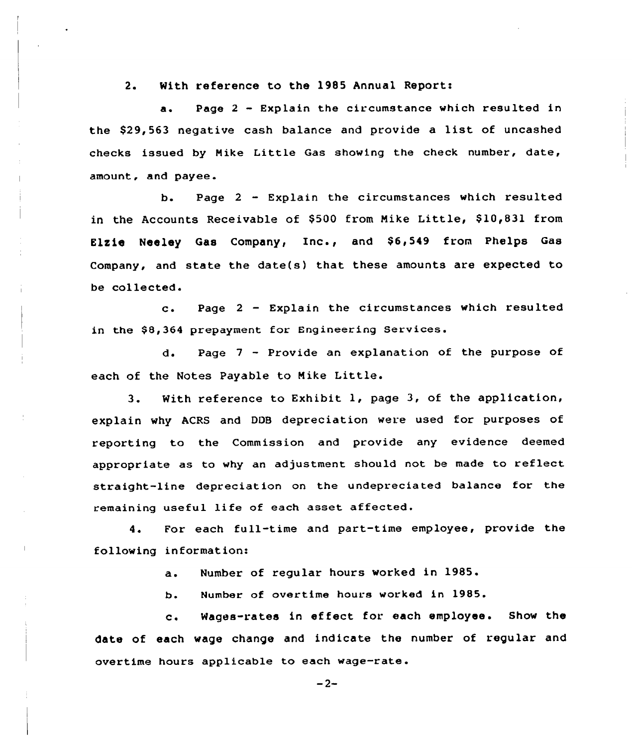2. With reference to the 1985 Annual Report:

a. Page <sup>2</sup> — Explain the circumstance which resulted in the \$29,563 negative cash balance and provide <sup>a</sup> list of uncashed checks issued by Mike Little Gas showing the check number, date, amount, and payee.

b. Page 2 — Explain the circumstances which resulted in the Accounts Receivable of \$500 from Mike Little, \$10,831 from Elzie Neeley Gas Company, Inc., and \$6,549 from Phelps Gas Company, and state the date(s) that these amounts are expected to be collected.

c. Page 2 - Explain the circumstances which resulted in the \$8,364 prepayment for Engineering Services.

d. Page 7 — Provide an explanation of the purpose of each of the Notes Payable to Mike Little.

3. With reference to Exhibit 1, page 3, of the application, explain why ACRS and DDB depreciation were used for purposes of reporting to the Commission and provide any evidence deemed appropriate as to why an adjustment should not be made to reflect straight-line depreciation on the undepreciated balance for the remaining useful life of each asset affected.

4. For each full-time and part-time employee, provide the following information:

a. Number of regular hours worked in 1985.

b. Number of overtime hours worked in 1985.

c. Wages-rates in effect for each employee. Show the date of each wage change and indicate the number of regular and overtime hours applicable to each wage-rate.

 $-2-$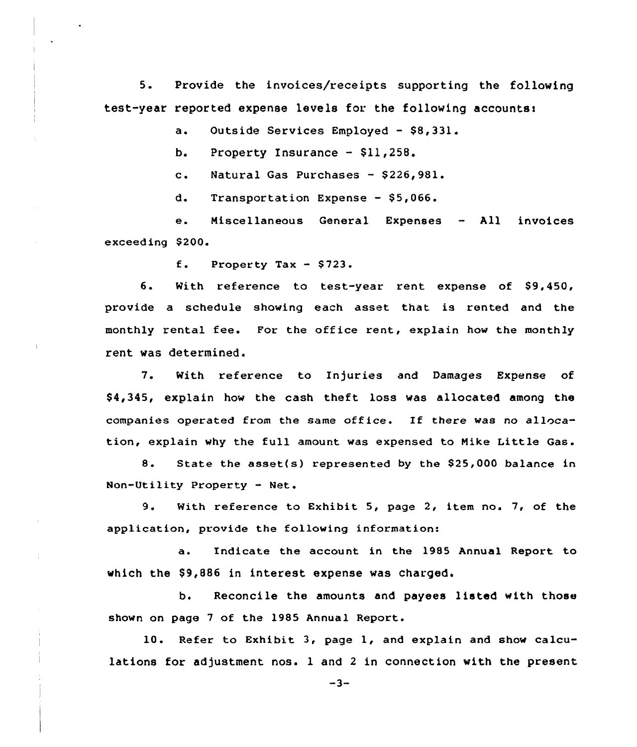5. Provide the invoices/receipts supporting the following test-year reported expense levels for the following accountsi

a. Outside Services Employed - \$8,331.

b. Property Insurance  $-$  \$11,258.

c. Natural Gas Purchases - \$226,981.

d. Transportation Expense - \$5,066.

e. Niscellaneous General Expenses — All invoices exceeding \$200.

f. Property Tax  $-$  \$723.

6. With reference to test-year rent expense of \$9,450, provide a schedule showing each asset that is rented and the monthly rental fee. For the office rent, explain how the monthly rent was determined.

7. With reference to Injuries and Damages Expense of \$ 4,345, explain how the cash theft loss was allocated among the companies operated from the same office. If there was no allocation, explain why the full amount was expensed to Nike Little Gas.

8. State the asset(s) represented by the \$25,000 balance in Non-Utility Property — Net.

9. With reference to Exhibit 5, page 2, item no. 7, of the application, provide the following information:

a. Indicate the account in the 1985 Annual Report to which the 89,886 in interest expense was charged.

b. Reconcile the amounts and payees listed with those shown on page 7 of the 1985 Annual Report.

10. Refer to Exhibit 3, page 1, and explain and show calculations for adjustment nos. 1 and 2 in connection with the present

 $-3-$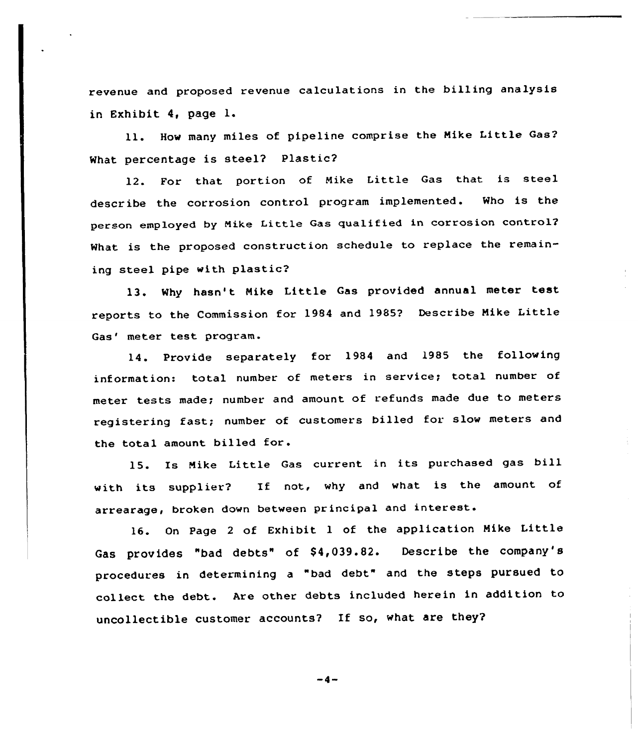revenue and proposed revenue calculations in the billing analysis in Exhibit 4, page 1.

ll. How many miles of pipeline comprise the Nike Little Gas? What percentage is steel? Plastic?

12. For that portion of Nike Little Gas that is steel describe the corrosion control program implemented. Who is the person employed by Mike Little Gas qualified in corrosion control2 What is the proposed construction schedule to replace the remaining steel pipe with plastic?

13. Why hasn't Nike Little Gas provided annual meter test reports to the Commission for <sup>1984</sup> and 1985? Describe Nike Little Gas' meter test program.

14. Provide separately for 1984 and 1985 the following information: total number of meters in service; total number of meter tests made; number and amount of refunds made due to meters registering fast; number of customers billed for slow meters and the total amount billed for.

15. Is Nike Little Gas current in its purchased gas bill with its supplier? If not, why and what is the amount of arrearage, broken down between principal and interest.

16. On Page <sup>2</sup> of Exhibit <sup>1</sup> of the application Nike Little Gas provides "bad debts" of \$4,039.82. Describe the company' procedures in determining a "bad debt" and the steps pursued to collect the debt. Are other debts included herein in addition to uncollectible customer accounts? If so, what are they?

$$
-4-
$$